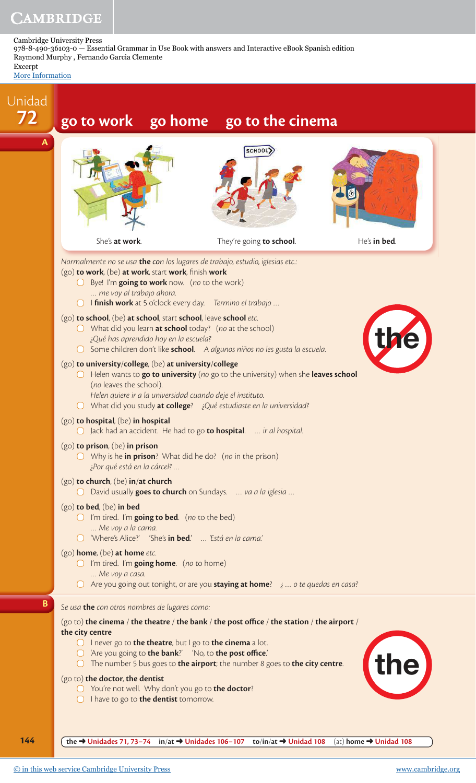Cambridge University Press 978-8-490-36103-0 — Essential Grammar in Use Book with answers and Interactive eBook Spanish edition Raymond Murphy , Fernando Garcia Clemente

Excerpt [More Information](www.cambridge.org/9788490361030)

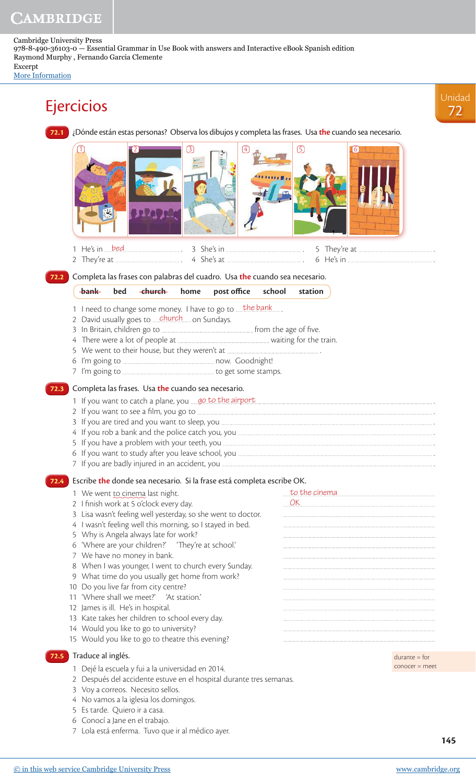Cambridge University Press 978-8-490-36103-0 — Essential Grammar in Use Book with answers and Interactive eBook Spanish edition Raymond Murphy , Fernando Garcia Clemente Excerpt

[More Information](www.cambridge.org/9788490361030)



**145**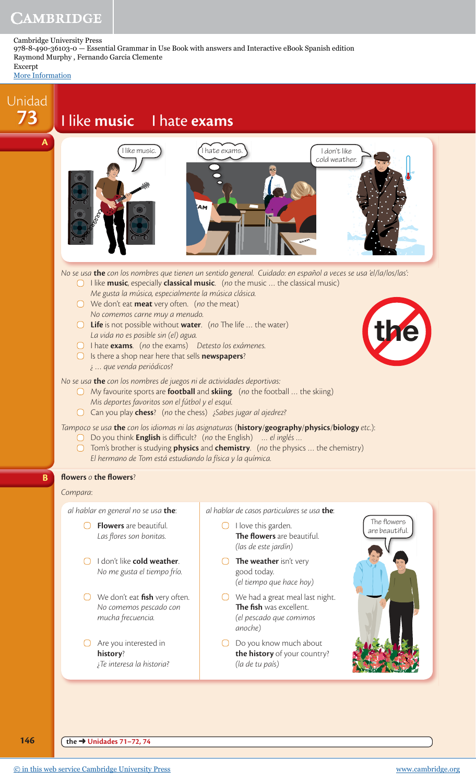Cambridge University Press 978-8-490-36103-0 — Essential Grammar in Use Book with answers and Interactive eBook Spanish edition Raymond Murphy , Fernando Garcia Clemente

Excerpt

[More Information](www.cambridge.org/9788490361030)



**146 the → Unidades 71–72, 74**